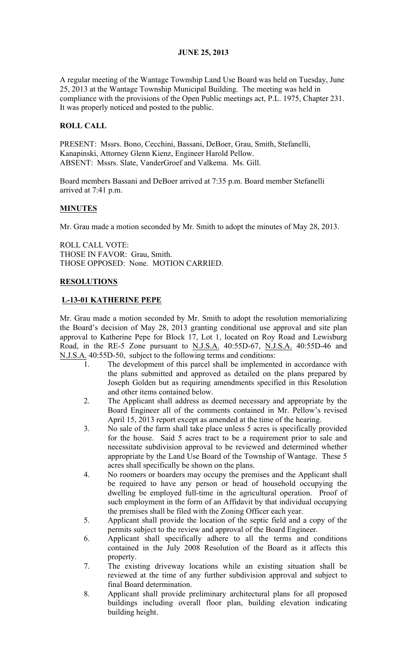# JUNE 25, 2013

A regular meeting of the Wantage Township Land Use Board was held on Tuesday, June 25, 2013 at the Wantage Township Municipal Building. The meeting was held in compliance with the provisions of the Open Public meetings act, P.L. 1975, Chapter 231. It was properly noticed and posted to the public.

# ROLL CALL

PRESENT: Mssrs. Bono, Cecchini, Bassani, DeBoer, Grau, Smith, Stefanelli, Kanapinski, Attorney Glenn Kienz, Engineer Harold Pellow. ABSENT: Mssrs. Slate, VanderGroef and Valkema. Ms. Gill.

Board members Bassani and DeBoer arrived at 7:35 p.m. Board member Stefanelli arrived at 7:41 p.m.

# MINUTES

Mr. Grau made a motion seconded by Mr. Smith to adopt the minutes of May 28, 2013.

ROLL CALL VOTE: THOSE IN FAVOR: Grau, Smith. THOSE OPPOSED: None. MOTION CARRIED.

## RESOLUTIONS

## L-13-01 KATHERINE PEPE

Mr. Grau made a motion seconded by Mr. Smith to adopt the resolution memorializing the Board's decision of May 28, 2013 granting conditional use approval and site plan approval to Katherine Pepe for Block 17, Lot 1, located on Roy Road and Lewisburg Road, in the RE-5 Zone pursuant to N.J.S.A. 40:55D-67, N.J.S.A. 40:55D-46 and N.J.S.A. 40:55D-50, subject to the following terms and conditions:

- 1. The development of this parcel shall be implemented in accordance with the plans submitted and approved as detailed on the plans prepared by Joseph Golden but as requiring amendments specified in this Resolution and other items contained below.
- 2. The Applicant shall address as deemed necessary and appropriate by the Board Engineer all of the comments contained in Mr. Pellow's revised April 15, 2013 report except as amended at the time of the hearing.
- 3. No sale of the farm shall take place unless 5 acres is specifically provided for the house. Said 5 acres tract to be a requirement prior to sale and necessitate subdivision approval to be reviewed and determined whether appropriate by the Land Use Board of the Township of Wantage. These 5 acres shall specifically be shown on the plans.
- 4. No roomers or boarders may occupy the premises and the Applicant shall be required to have any person or head of household occupying the dwelling be employed full-time in the agricultural operation. Proof of such employment in the form of an Affidavit by that individual occupying the premises shall be filed with the Zoning Officer each year.
- 5. Applicant shall provide the location of the septic field and a copy of the permits subject to the review and approval of the Board Engineer.
- 6. Applicant shall specifically adhere to all the terms and conditions contained in the July 2008 Resolution of the Board as it affects this property.
- 7. The existing driveway locations while an existing situation shall be reviewed at the time of any further subdivision approval and subject to final Board determination.
- 8. Applicant shall provide preliminary architectural plans for all proposed buildings including overall floor plan, building elevation indicating building height.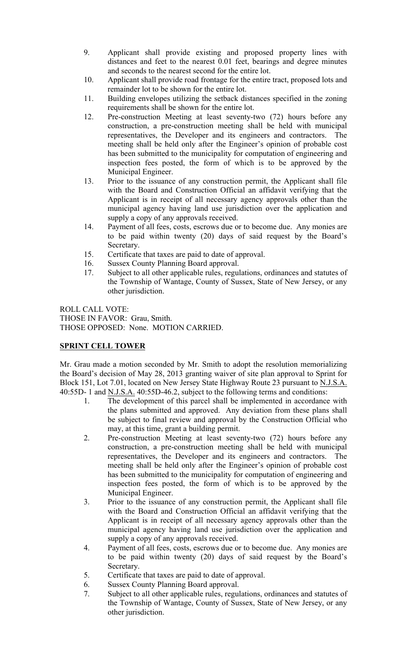- 9. Applicant shall provide existing and proposed property lines with distances and feet to the nearest 0.01 feet, bearings and degree minutes and seconds to the nearest second for the entire lot.
- 10. Applicant shall provide road frontage for the entire tract, proposed lots and remainder lot to be shown for the entire lot.
- 11. Building envelopes utilizing the setback distances specified in the zoning requirements shall be shown for the entire lot.
- 12. Pre-construction Meeting at least seventy-two (72) hours before any construction, a pre-construction meeting shall be held with municipal representatives, the Developer and its engineers and contractors. The meeting shall be held only after the Engineer's opinion of probable cost has been submitted to the municipality for computation of engineering and inspection fees posted, the form of which is to be approved by the Municipal Engineer.
- 13. Prior to the issuance of any construction permit, the Applicant shall file with the Board and Construction Official an affidavit verifying that the Applicant is in receipt of all necessary agency approvals other than the municipal agency having land use jurisdiction over the application and supply a copy of any approvals received.
- 14. Payment of all fees, costs, escrows due or to become due. Any monies are to be paid within twenty (20) days of said request by the Board's Secretary.
- 15. Certificate that taxes are paid to date of approval.
- 16. Sussex County Planning Board approval.
- 17. Subject to all other applicable rules, regulations, ordinances and statutes of the Township of Wantage, County of Sussex, State of New Jersey, or any other jurisdiction.

ROLL CALL VOTE: THOSE IN FAVOR: Grau, Smith. THOSE OPPOSED: None. MOTION CARRIED.

## SPRINT CELL TOWER

Mr. Grau made a motion seconded by Mr. Smith to adopt the resolution memorializing the Board's decision of May 28, 2013 granting waiver of site plan approval to Sprint for Block 151, Lot 7.01, located on New Jersey State Highway Route 23 pursuant to N.J.S.A. 40:55D- 1 and N.J.S.A. 40:55D-46.2, subject to the following terms and conditions:

- 1. The development of this parcel shall be implemented in accordance with the plans submitted and approved. Any deviation from these plans shall be subject to final review and approval by the Construction Official who may, at this time, grant a building permit.
- 2. Pre-construction Meeting at least seventy-two (72) hours before any construction, a pre-construction meeting shall be held with municipal representatives, the Developer and its engineers and contractors. The meeting shall be held only after the Engineer's opinion of probable cost has been submitted to the municipality for computation of engineering and inspection fees posted, the form of which is to be approved by the Municipal Engineer.
- 3. Prior to the issuance of any construction permit, the Applicant shall file with the Board and Construction Official an affidavit verifying that the Applicant is in receipt of all necessary agency approvals other than the municipal agency having land use jurisdiction over the application and supply a copy of any approvals received.
- 4. Payment of all fees, costs, escrows due or to become due. Any monies are to be paid within twenty (20) days of said request by the Board's Secretary.
- 5. Certificate that taxes are paid to date of approval.
- 6. Sussex County Planning Board approval.
- 7. Subject to all other applicable rules, regulations, ordinances and statutes of the Township of Wantage, County of Sussex, State of New Jersey, or any other jurisdiction.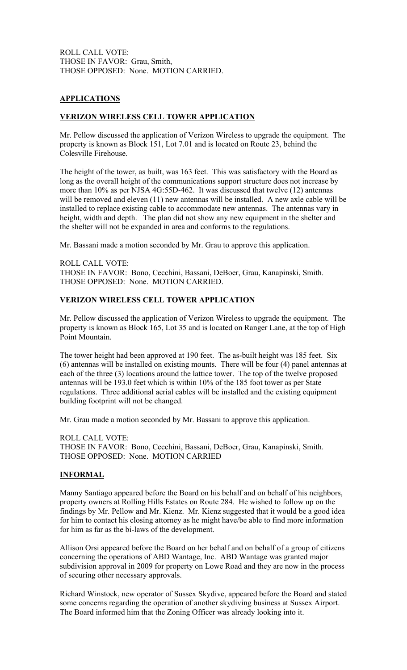ROLL CALL VOTE: THOSE IN FAVOR: Grau, Smith, THOSE OPPOSED: None. MOTION CARRIED.

## APPLICATIONS

## VERIZON WIRELESS CELL TOWER APPLICATION

Mr. Pellow discussed the application of Verizon Wireless to upgrade the equipment. The property is known as Block 151, Lot 7.01 and is located on Route 23, behind the Colesville Firehouse.

The height of the tower, as built, was 163 feet. This was satisfactory with the Board as long as the overall height of the communications support structure does not increase by more than 10% as per NJSA 4G:55D-462. It was discussed that twelve (12) antennas will be removed and eleven (11) new antennas will be installed. A new axle cable will be installed to replace existing cable to accommodate new antennas. The antennas vary in height, width and depth. The plan did not show any new equipment in the shelter and the shelter will not be expanded in area and conforms to the regulations.

Mr. Bassani made a motion seconded by Mr. Grau to approve this application.

ROLL CALL VOTE: THOSE IN FAVOR: Bono, Cecchini, Bassani, DeBoer, Grau, Kanapinski, Smith. THOSE OPPOSED: None. MOTION CARRIED.

## VERIZON WIRELESS CELL TOWER APPLICATION

Mr. Pellow discussed the application of Verizon Wireless to upgrade the equipment. The property is known as Block 165, Lot 35 and is located on Ranger Lane, at the top of High Point Mountain.

The tower height had been approved at 190 feet. The as-built height was 185 feet. Six (6) antennas will be installed on existing mounts. There will be four (4) panel antennas at each of the three (3) locations around the lattice tower. The top of the twelve proposed antennas will be 193.0 feet which is within 10% of the 185 foot tower as per State regulations. Three additional aerial cables will be installed and the existing equipment building footprint will not be changed.

Mr. Grau made a motion seconded by Mr. Bassani to approve this application.

ROLL CALL VOTE: THOSE IN FAVOR: Bono, Cecchini, Bassani, DeBoer, Grau, Kanapinski, Smith. THOSE OPPOSED: None. MOTION CARRIED

## INFORMAL

Manny Santiago appeared before the Board on his behalf and on behalf of his neighbors, property owners at Rolling Hills Estates on Route 284. He wished to follow up on the findings by Mr. Pellow and Mr. Kienz. Mr. Kienz suggested that it would be a good idea for him to contact his closing attorney as he might have/be able to find more information for him as far as the bi-laws of the development.

Allison Orsi appeared before the Board on her behalf and on behalf of a group of citizens concerning the operations of ABD Wantage, Inc. ABD Wantage was granted major subdivision approval in 2009 for property on Lowe Road and they are now in the process of securing other necessary approvals.

Richard Winstock, new operator of Sussex Skydive, appeared before the Board and stated some concerns regarding the operation of another skydiving business at Sussex Airport. The Board informed him that the Zoning Officer was already looking into it.